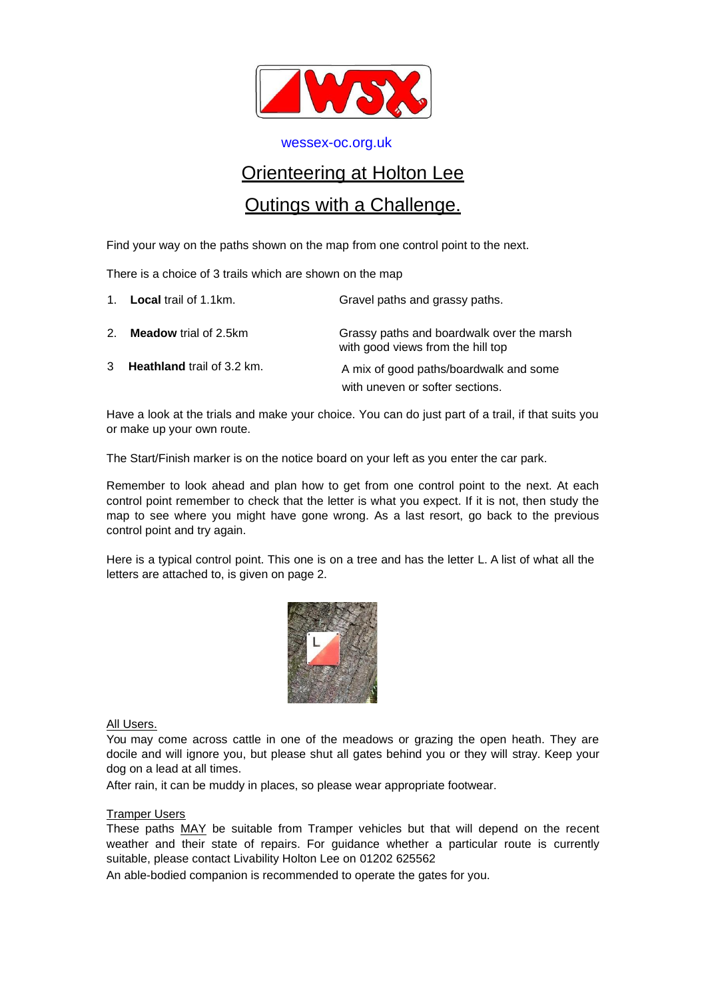

[wessex-oc.org.uk](file:///C:/Users/Julie/Documents/1.%20Documents/1.Orienteering/Holton%20Lee/POC/wessex-oc.org.uk)

## Orienteering at Holton Lee

## Outings with a Challenge.

Find your way on the paths shown on the map from one control point to the next.

There is a choice of 3 trails which are shown on the map

|    | 1. <b>Local</b> trail of 1.1km.   | Gravel paths and grassy paths.                                                 |  |
|----|-----------------------------------|--------------------------------------------------------------------------------|--|
| 2. | <b>Meadow</b> trial of 2.5km      | Grassy paths and boardwalk over the marsh<br>with good views from the hill top |  |
| 3  | <b>Heathland</b> trail of 3.2 km. | A mix of good paths/boardwalk and some<br>with uneven or softer sections.      |  |

Have a look at the trials and make your choice. You can do just part of a trail, if that suits you or make up your own route.

The Start/Finish marker is on the notice board on your left as you enter the car park.

Remember to look ahead and plan how to get from one control point to the next. At each control point remember to check that the letter is what you expect. If it is not, then study the map to see where you might have gone wrong. As a last resort, go back to the previous control point and try again.

Here is a typical control point. This one is on a tree and has the letter L. A list of what all the letters are attached to, is given on page 2.



All Users.

You may come across cattle in one of the meadows or grazing the open heath. They are docile and will ignore you, but please shut all gates behind you or they will stray. Keep your dog on a lead at all times.

After rain, it can be muddy in places, so please wear appropriate footwear.

## Tramper Users

These paths MAY be suitable from Tramper vehicles but that will depend on the recent weather and their state of repairs. For guidance whether a particular route is currently suitable, please contact Livability Holton Lee on 01202 625562

An able-bodied companion is recommended to operate the gates for you.